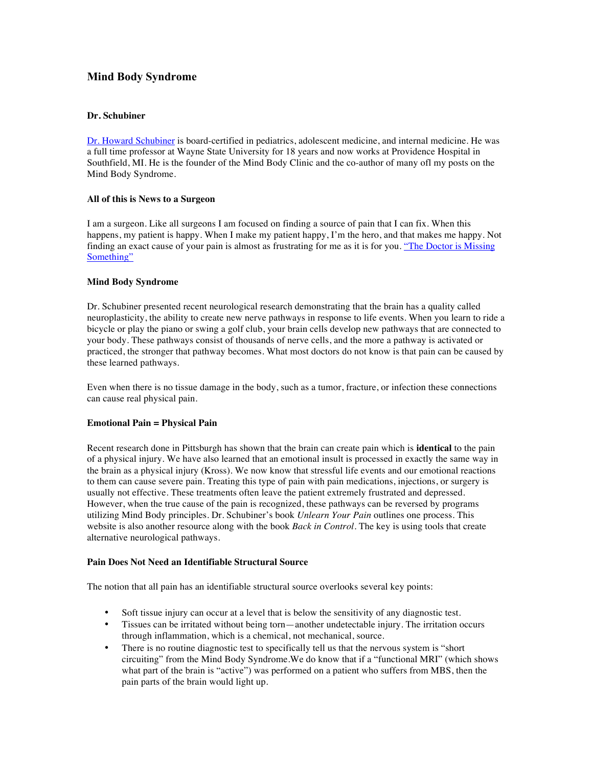# **Mind Body Syndrome**

## **Dr. Schubiner**

Dr. Howard Schubiner is board-certified in pediatrics, adolescent medicine, and internal medicine. He was a full time professor at Wayne State University for 18 years and now works at Providence Hospital in Southfield, MI. He is the founder of the Mind Body Clinic and the co-author of many ofl my posts on the Mind Body Syndrome.

## **All of this is News to a Surgeon**

I am a surgeon. Like all surgeons I am focused on finding a source of pain that I can fix. When this happens, my patient is happy. When I make my patient happy, I'm the hero, and that makes me happy. Not finding an exact cause of your pain is almost as frustrating for me as it is for you. "The Doctor is Missing Something"

## **Mind Body Syndrome**

Dr. Schubiner presented recent neurological research demonstrating that the brain has a quality called neuroplasticity, the ability to create new nerve pathways in response to life events. When you learn to ride a bicycle or play the piano or swing a golf club, your brain cells develop new pathways that are connected to your body. These pathways consist of thousands of nerve cells, and the more a pathway is activated or practiced, the stronger that pathway becomes. What most doctors do not know is that pain can be caused by these learned pathways.

Even when there is no tissue damage in the body, such as a tumor, fracture, or infection these connections can cause real physical pain.

#### **Emotional Pain = Physical Pain**

Recent research done in Pittsburgh has shown that the brain can create pain which is **identical** to the pain of a physical injury. We have also learned that an emotional insult is processed in exactly the same way in the brain as a physical injury (Kross). We now know that stressful life events and our emotional reactions to them can cause severe pain. Treating this type of pain with pain medications, injections, or surgery is usually not effective. These treatments often leave the patient extremely frustrated and depressed. However, when the true cause of the pain is recognized, these pathways can be reversed by programs utilizing Mind Body principles. Dr. Schubiner's book *Unlearn Your Pain* outlines one process. This website is also another resource along with the book *Back in Control*. The key is using tools that create alternative neurological pathways.

#### **Pain Does Not Need an Identifiable Structural Source**

The notion that all pain has an identifiable structural source overlooks several key points:

- Soft tissue injury can occur at a level that is below the sensitivity of any diagnostic test.
- Tissues can be irritated without being torn—another undetectable injury. The irritation occurs through inflammation, which is a chemical, not mechanical, source.
- There is no routine diagnostic test to specifically tell us that the nervous system is "short" circuiting" from the Mind Body Syndrome.We do know that if a "functional MRI" (which shows what part of the brain is "active") was performed on a patient who suffers from MBS, then the pain parts of the brain would light up.